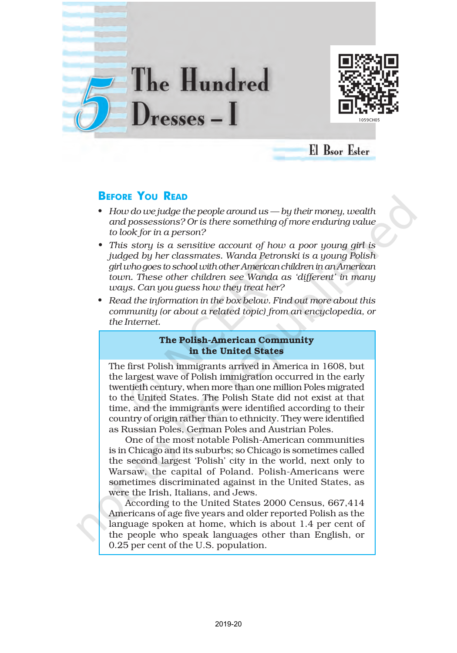



# El Bsor Ester

# BEFORE YOU READ

- *• How do we judge the people around us by their money, wealth and possessions? Or is there something of more enduring value to look for in a person?*
- *• This story is a sensitive account of how a poor young girl is judged by her classmates. Wanda Petronski is a young Polish girl who goes to school with other American children in an American town. These other children see Wanda as 'different' in many ways. Can you guess how they treat her?*
- *• Read the information in the box below. Find out more about this community (or about a related topic) from an encyclopedia, or the Internet.*

## The Polish-American Community in the United States

The first Polish immigrants arrived in America in 1608, but the largest wave of Polish immigration occurred in the early twentieth century, when more than one million Poles migrated to the United States. The Polish State did not exist at that time, and the immigrants were identified according to their country of origin rather than to ethnicity. They were identified as Russian Poles, German Poles and Austrian Poles.

One of the most notable Polish-American communities is in Chicago and its suburbs; so Chicago is sometimes called the second largest 'Polish' city in the world, next only to Warsaw, the capital of Poland. Polish-Americans were sometimes discriminated against in the United States, as were the Irish, Italians, and Jews.

According to the United States 2000 Census, 667,414 Americans of age five years and older reported Polish as the language spoken at home, which is about 1.4 per cent of the people who speak languages other than English, or 0.25 per cent of the U.S. population.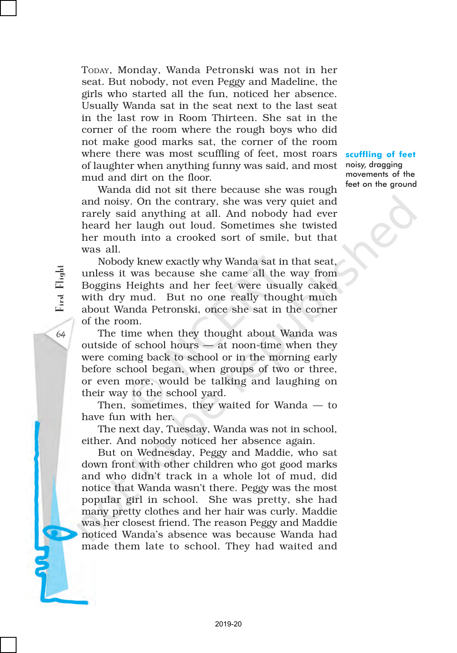TODAY, Monday, Wanda Petronski was not in her seat. But nobody, not even Peggy and Madeline, the girls who started all the fun, noticed her absence. Usually Wanda sat in the seat next to the last seat in the last row in Room Thirteen. She sat in the corner of the room where the rough boys who did not make good marks sat, the corner of the room where there was most scuffling of feet, most roars of laughter when anything funny was said, and most mud and dirt on the floor.

Wanda did not sit there because she was rough and noisy. On the contrary, she was very quiet and rarely said anything at all. And nobody had ever heard her laugh out loud. Sometimes she twisted her mouth into a crooked sort of smile, but that was all.

Nobody knew exactly why Wanda sat in that seat, unless it was because she came all the way from Boggins Heights and her feet were usually caked with dry mud. But no one really thought much about Wanda Petronski, once she sat in the corner of the room.

64First Flight

64

First Flight

The time when they thought about Wanda was outside of school hours — at noon-time when they were coming back to school or in the morning early before school began, when groups of two or three, or even more, would be talking and laughing on their way to the school yard.

Then, sometimes, they waited for Wanda — to have fun with her.

The next day, Tuesday, Wanda was not in school, either. And nobody noticed her absence again.

But on Wednesday, Peggy and Maddie, who sat down front with other children who got good marks and who didn't track in a whole lot of mud, did notice that Wanda wasn't there. Peggy was the most popular girl in school. She was pretty, she had many pretty clothes and her hair was curly. Maddie was her closest friend. The reason Peggy and Maddie noticed Wanda's absence was because Wanda had made them late to school. They had waited and

scuffling of feet noisy, dragging movements of the feet on the ground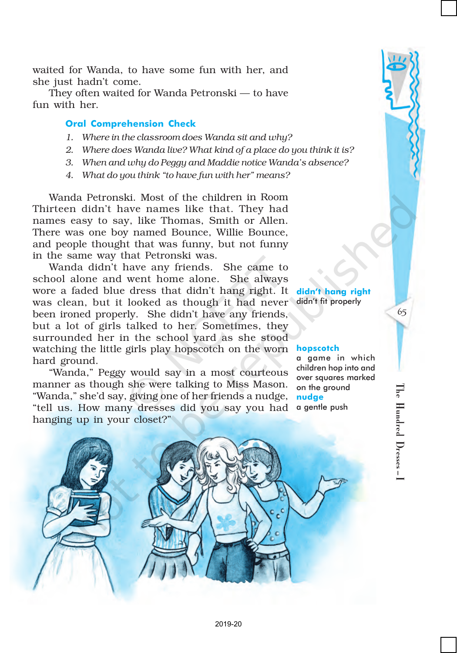waited for Wanda, to have some fun with her, and she just hadn't come.

They often waited for Wanda Petronski — to have fun with her.

# Oral Comprehension Check

- *1. Where in the classroom does Wanda sit and why?*
- *2. Where does Wanda live? What kind of a place do you think it is?*
- *3. When and why do Peggy and Maddie notice Wanda's absence?*
- *4. What do you think "to have fun with her" means?*

Wanda Petronski. Most of the children in Room Thirteen didn't have names like that. They had names easy to say, like Thomas, Smith or Allen. There was one boy named Bounce, Willie Bounce, and people thought that was funny, but not funny in the same way that Petronski was.

Wanda didn't have any friends. She came to school alone and went home alone. She always wore a faded blue dress that didn't hang right. It didn't hang right was clean, but it looked as though it had never been ironed properly. She didn't have any friends, but a lot of girls talked to her. Sometimes, they surrounded her in the school yard as she stood watching the little girls play hopscotch on the worn hopscotch hard ground.

"Wanda," Peggy would say in a most courteous manner as though she were talking to Miss Mason. "Wanda," she'd say, giving one of her friends a nudge, "tell us. How many dresses did you say you had a gentle push hanging up in your closet?"

didn't fit properly

a game in which children hop into and over squares marked on the ground nudge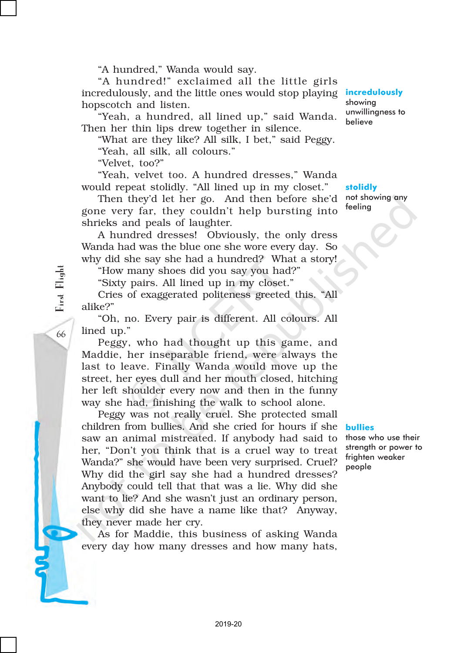"A hundred," Wanda would say.

"A hundred!" exclaimed all the little girls incredulously, and the little ones would stop playing hopscotch and listen.

"Yeah, a hundred, all lined up," said Wanda. Then her thin lips drew together in silence.

"What are they like? All silk, I bet," said Peggy.

"Yeah, all silk, all colours."

"Velvet, too?"

66First Flight

66

First Flight

"Yeah, velvet too. A hundred dresses," Wanda would repeat stolidly. "All lined up in my closet."

Then they'd let her go. And then before she'd gone very far, they couldn't help bursting into shrieks and peals of laughter.

A hundred dresses! Obviously, the only dress Wanda had was the blue one she wore every day. So why did she say she had a hundred? What a story!

"How many shoes did you say you had?"

"Sixty pairs. All lined up in my closet."

Cries of exaggerated politeness greeted this. "All alike?"

"Oh, no. Every pair is different. All colours. All lined up."

Peggy, who had thought up this game, and Maddie, her inseparable friend, were always the last to leave. Finally Wanda would move up the street, her eyes dull and her mouth closed, hitching her left shoulder every now and then in the funny way she had, finishing the walk to school alone.

Peggy was not really cruel. She protected small children from bullies. And she cried for hours if she bullies saw an animal mistreated. If anybody had said to her, "Don't you think that is a cruel way to treat Wanda?" she would have been very surprised. Cruel? Why did the girl say she had a hundred dresses? Anybody could tell that that was a lie. Why did she want to lie? And she wasn't just an ordinary person, else why did she have a name like that? Anyway, they never made her cry.

As for Maddie, this business of asking Wanda every day how many dresses and how many hats,

stolidly not showing any feeling

incredulously showing unwillingness to

believe

those who use their strength or power to frighten weaker people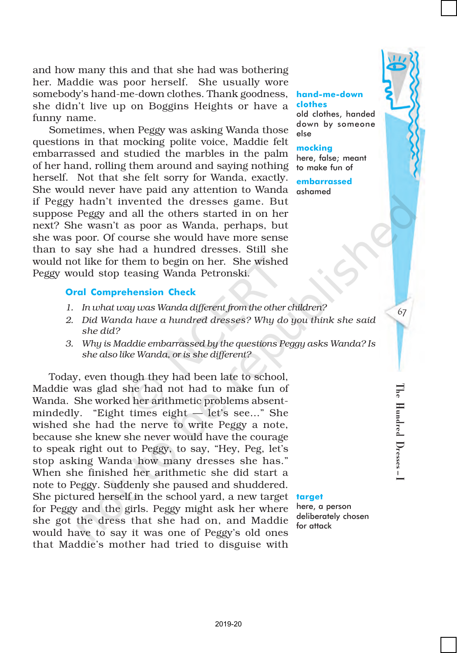and how many this and that she had was bothering her. Maddie was poor herself. She usually wore somebody's hand-me-down clothes. Thank goodness, she didn't live up on Boggins Heights or have a funny name.

Sometimes, when Peggy was asking Wanda those questions in that mocking polite voice, Maddie felt embarrassed and studied the marbles in the palm of her hand, rolling them around and saying nothing herself. Not that she felt sorry for Wanda, exactly. She would never have paid any attention to Wanda ashamed if Peggy hadn't invented the dresses game. But suppose Peggy and all the others started in on her next? She wasn't as poor as Wanda, perhaps, but she was poor. Of course she would have more sense than to say she had a hundred dresses. Still she would not like for them to begin on her. She wished Peggy would stop teasing Wanda Petronski.

### hand-me-down clothes

old clothes, handed down by someone else

### mocking

here, false; meant to make fun of

embarrassed

# Oral Comprehension Check

- *1. In what way was Wanda different from the other children?*
- *2. Did Wanda have a hundred dresses? Why do you think she said she did?*
- *3. Why is Maddie embarrassed by the questions Peggy asks Wanda? Is she also like Wanda, or is she different?*

2019-20

Today, even though they had been late to school, Maddie was glad she had not had to make fun of Wanda. She worked her arithmetic problems absentmindedly. "Eight times eight — let's see…" She wished she had the nerve to write Peggy a note, because she knew she never would have the courage to speak right out to Peggy, to say, "Hey, Peg, let's stop asking Wanda how many dresses she has." When she finished her arithmetic she did start a note to Peggy. Suddenly she paused and shuddered. She pictured herself in the school yard, a new target target for Peggy and the girls. Peggy might ask her where she got the dress that she had on, and Maddie would have to say it was one of Peggy's old ones that Maddie's mother had tried to disguise with

here, a person deliberately chosen for attack

The Hundred Dresses He Hundred Dresses –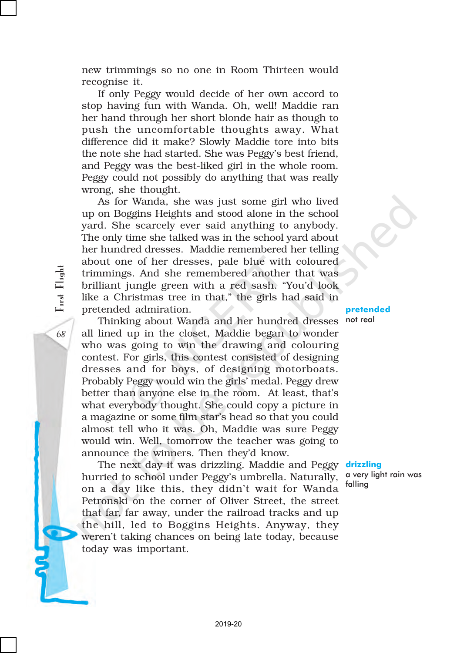new trimmings so no one in Room Thirteen would recognise it.

If only Peggy would decide of her own accord to stop having fun with Wanda. Oh, well! Maddie ran her hand through her short blonde hair as though to push the uncomfortable thoughts away. What difference did it make? Slowly Maddie tore into bits the note she had started. She was Peggy's best friend, and Peggy was the best-liked girl in the whole room. Peggy could not possibly do anything that was really wrong, she thought.

As for Wanda, she was just some girl who lived up on Boggins Heights and stood alone in the school yard. She scarcely ever said anything to anybody. The only time she talked was in the school yard about her hundred dresses. Maddie remembered her telling about one of her dresses, pale blue with coloured trimmings. And she remembered another that was brilliant jungle green with a red sash. "You'd look like a Christmas tree in that," the girls had said in pretended admiration.

68First Flight

68

First Flight

Thinking about Wanda and her hundred dresses not real all lined up in the closet, Maddie began to wonder who was going to win the drawing and colouring contest. For girls, this contest consisted of designing dresses and for boys, of designing motorboats. Probably Peggy would win the girls' medal. Peggy drew better than anyone else in the room. At least, that's what everybody thought. She could copy a picture in a magazine or some film star's head so that you could almost tell who it was. Oh, Maddie was sure Peggy would win. Well, tomorrow the teacher was going to announce the winners. Then they'd know.

The next day it was drizzling. Maddie and Peggy **drizzling** hurried to school under Peggy's umbrella. Naturally, on a day like this, they didn't wait for Wanda Petronski on the corner of Oliver Street, the street that far, far away, under the railroad tracks and up the hill, led to Boggins Heights. Anyway, they weren't taking chances on being late today, because today was important.

pretended

a very light rain was falling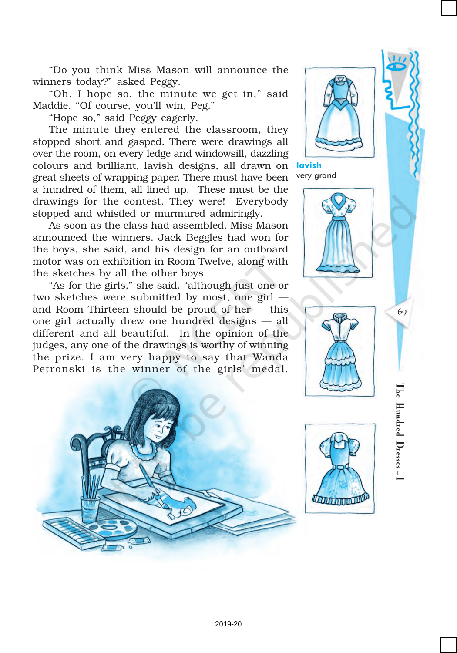"Do you think Miss Mason will announce the winners today?" asked Peggy.

"Oh, I hope so, the minute we get in," said Maddie. "Of course, you'll win, Peg."

"Hope so," said Peggy eagerly.

The minute they entered the classroom, they stopped short and gasped. There were drawings all over the room, on every ledge and windowsill, dazzling colours and brilliant, lavish designs, all drawn on lavish great sheets of wrapping paper. There must have been a hundred of them, all lined up. These must be the drawings for the contest. They were! Everybody stopped and whistled or murmured admiringly.

As soon as the class had assembled, Miss Mason announced the winners. Jack Beggles had won for the boys, she said, and his design for an outboard motor was on exhibition in Room Twelve, along with the sketches by all the other boys.

"As for the girls," she said, "although just one or two sketches were submitted by most, one girl and Room Thirteen should be proud of her — this one girl actually drew one hundred designs — all different and all beautiful. In the opinion of the judges, any one of the drawings is worthy of winning the prize. I am very happy to say that Wanda Petronski is the winner of the girls' medal.





very grand





69

The Hundred Dresses he Hundred Dresses-

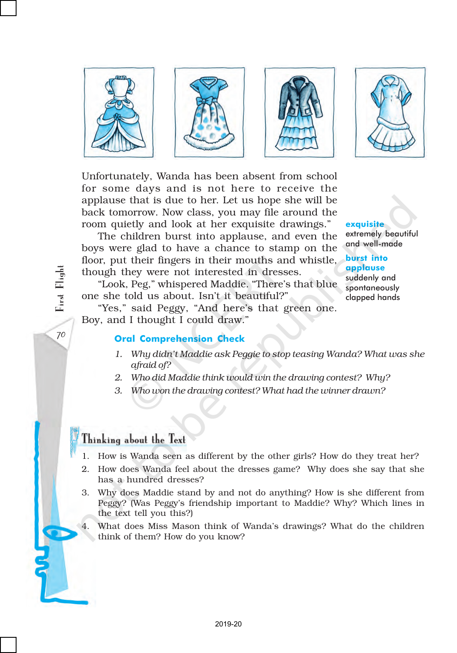







Unfortunately, Wanda has been absent from school for some days and is not here to receive the applause that is due to her. Let us hope she will be back tomorrow. Now class, you may file around the room quietly and look at her exquisite drawings."

The children burst into applause, and even the boys were glad to have a chance to stamp on the floor, put their fingers in their mouths and whistle, though they were not interested in dresses.

"Look, Peg," whispered Maddie. "There's that blue one she told us about. Isn't it beautiful?"



burst into applause suddenly and spontaneously clapped hands

"Yes," said Peggy, "And here's that green one. Boy, and I thought I could draw."

# Oral Comprehension Check

- *1. Why didn't Maddie ask Peggie to stop teasing Wanda? What was she afraid of?*
- *2. Who did Maddie think would win the drawing contest? Why?*
- *3. Who won the drawing contest? What had the winner drawn?*

# Thinking about the Text

- 1. How is Wanda seen as different by the other girls? How do they treat her?
- 2. How does Wanda feel about the dresses game? Why does she say that she has a hundred dresses?
- 3. Why does Maddie stand by and not do anything? How is she different from Peggy? (Was Peggy's friendship important to Maddie? Why? Which lines in the text tell you this?)
- 4. What does Miss Mason think of Wanda's drawings? What do the children think of them? How do you know?

70First Flight First Flight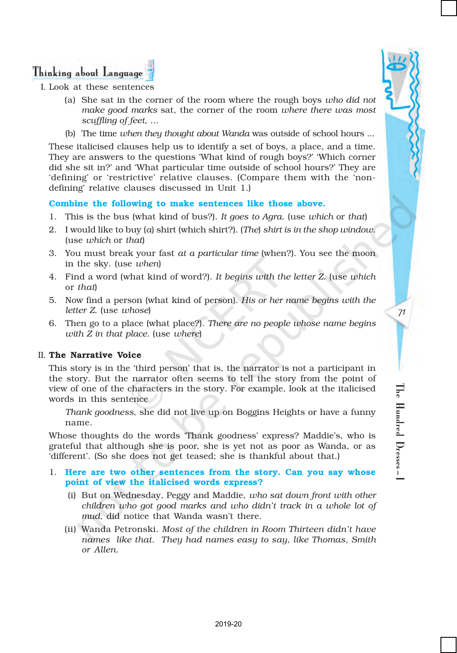# Thinking about Language

I. Look at these sentences

- (a) She sat in the corner of the room where the rough boys *who did not make good marks* sat, the corner of the room *where there was most scuffling of feet*, ...
- (b) The time *when they thought about Wanda* was outside of school hours ...

These italicised clauses help us to identify a set of boys, a place, and a time. They are answers to the questions 'What kind of rough boys?' 'Which corner did she sit in?' and 'What particular time outside of school hours?' They are 'defining' or 'restrictive' relative clauses. (Compare them with the 'nondefining' relative clauses discussed in Unit 1.)

## Combine the following to make sentences like those above.

- 1. This is the bus (what kind of bus?). *It goes to Agra*. (use *which* or *that*)
- 2. I would like to buy (*a*) shirt (which shirt?). (*The*) *shirt is in the shop window.* (use *which* or *that*)
- 3. You must break your fast *at a particular time* (when?). You see the moon in the sky. (use *when*)
- 4. Find a word (what kind of word?). *It begins with the letter Z.* (use *which* or *that*)
- 5. Now find a person (what kind of person). *His or her name begins with the letter Z.* (use *whose*)
- 6. Then go to a place (what place?). *There are no people whose name begins with Z in that place.* (use *where*)

### II. The Narrative Voice

This story is in the 'third person' that is, the narrator is not a participant in the story. But the narrator often seems to tell the story from the point of view of one of the characters in the story. For example, look at the italicised words in this sentence

*Thank goodness*, she did not live up on Boggins Heights or have a funny name.

Whose thoughts do the words 'Thank goodness' express? Maddie's, who is grateful that although she is poor, she is yet not as poor as Wanda, or as 'different'. (So she does not get teased; she is thankful about that.)

## 1. Here are two other sentences from the story. Can you say whose point of view the italicised words express?

- (i) But on Wednesday, Peggy and Maddie, *who sat down front with other children who got good marks and who didn't track in a whole lot of mud,* did notice that Wanda wasn't there.
- (ii) Wanda Petronski. *Most of the children in Room Thirteen didn't have names like that. They had names easy to say, like Thomas, Smith or Allen.*